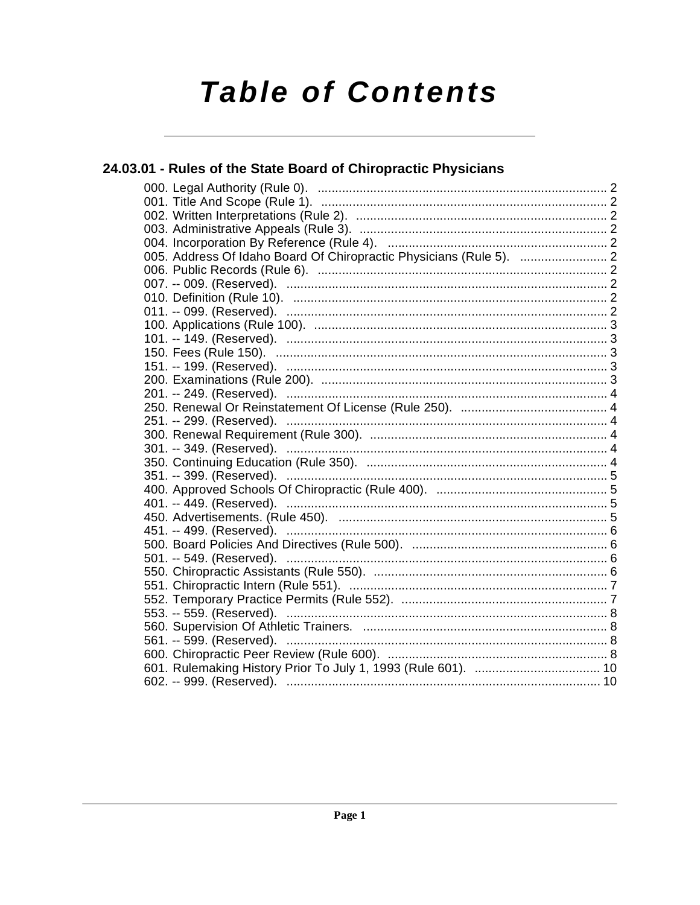# **Table of Contents**

#### 24.03.01 - Rules of the State Board of Chiropractic Physicians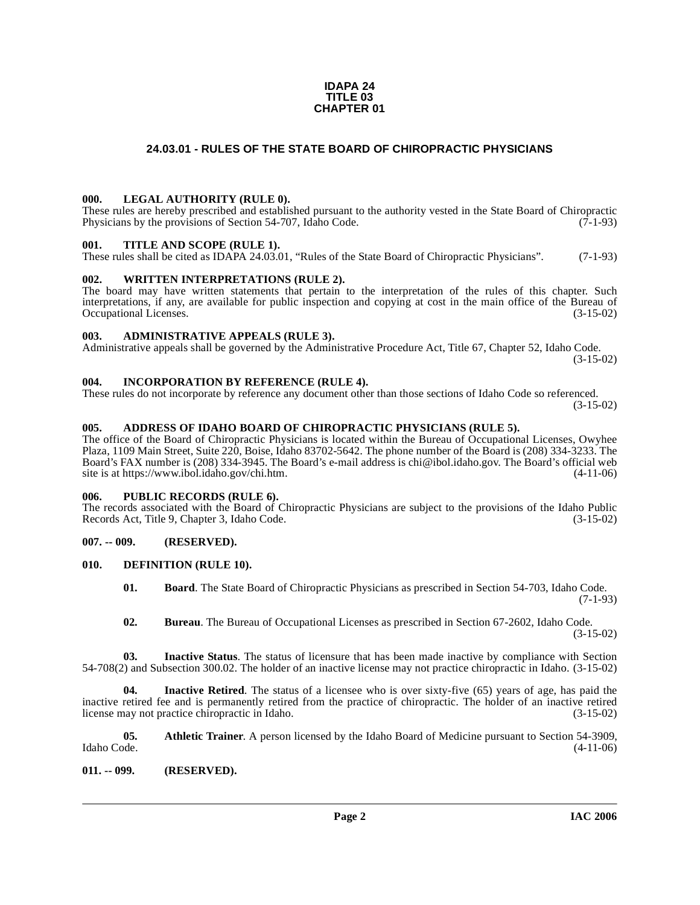#### **IDAPA 24 TITLE 03 CHAPTER 01**

#### **24.03.01 - RULES OF THE STATE BOARD OF CHIROPRACTIC PHYSICIANS**

#### <span id="page-1-1"></span><span id="page-1-0"></span>**000. LEGAL AUTHORITY (RULE 0).**

These rules are hereby prescribed and established pursuant to the authority vested in the State Board of Chiropractic Physicians by the provisions of Section 54-707, Idaho Code. (7-1-93)

#### <span id="page-1-2"></span>**001. TITLE AND SCOPE (RULE 1).**

These rules shall be cited as IDAPA 24.03.01, "Rules of the State Board of Chiropractic Physicians". (7-1-93)

#### <span id="page-1-3"></span>**002. WRITTEN INTERPRETATIONS (RULE 2).**

The board may have written statements that pertain to the interpretation of the rules of this chapter. Such interpretations, if any, are available for public inspection and copying at cost in the main office of the Bureau of Occupational Licenses. (3-15-02) Occupational Licenses.

#### <span id="page-1-4"></span>**003. ADMINISTRATIVE APPEALS (RULE 3).**

Administrative appeals shall be governed by the Administrative Procedure Act, Title 67, Chapter 52, Idaho Code. (3-15-02)

#### <span id="page-1-5"></span>**004. INCORPORATION BY REFERENCE (RULE 4).**

These rules do not incorporate by reference any document other than those sections of Idaho Code so referenced. (3-15-02)

#### <span id="page-1-6"></span>**005. ADDRESS OF IDAHO BOARD OF CHIROPRACTIC PHYSICIANS (RULE 5).**

[The office of the Board of Chiropractic Physicians is located within the Bureau of Occupational Licenses, Owyhee](mailto:chi@ibol.idaho.gov) Plaza, 1109 Main Street, Suite 220, Boise, Idaho 83702-5642. The phone number of the Board is (208) 334-3233. The Board's FAX number is (208) 334-3945. The Board's e-mail address is chi@ibol.idaho.gov. The Board's official web [site is at](mailto:chi@ibol.idaho.gov) [https://www.ibol.idaho.gov/chi.htm. \(4-11-06\)](https://www.ibol.idaho.gov/chi.htm)

#### <span id="page-1-7"></span>**006. PUBLIC RECORDS (RULE 6).**

The records associated with the Board of Chiropractic Physicians are subject to the provisions of the Idaho Public Records Act, Title 9, Chapter 3, Idaho Code. (3-15-02)

#### <span id="page-1-8"></span>**007. -- 009. (RESERVED).**

#### <span id="page-1-9"></span>**010. DEFINITION (RULE 10).**

- <span id="page-1-12"></span>**01. Board**. The State Board of Chiropractic Physicians as prescribed in Section 54-703, Idaho Code. (7-1-93)
- **02. Bureau**. The Bureau of Occupational Licenses as prescribed in Section 67-2602, Idaho Code. (3-15-02)

**03. Inactive Status**. The status of licensure that has been made inactive by compliance with Section 54-708(2) and Subsection 300.02. The holder of an inactive license may not practice chiropractic in Idaho. (3-15-02)

**04. Inactive Retired**. The status of a licensee who is over sixty-five (65) years of age, has paid the inactive retired fee and is permanently retired from the practice of chiropractic. The holder of an inactive retired license may not practice chiropractic in Idaho. (3-15-02)

<span id="page-1-11"></span>**05.** Athletic Trainer. A person licensed by the Idaho Board of Medicine pursuant to Section 54-3909, Idaho Code. (4-11-06) Idaho Code. (4-11-06)

#### <span id="page-1-10"></span>**011. -- 099. (RESERVED).**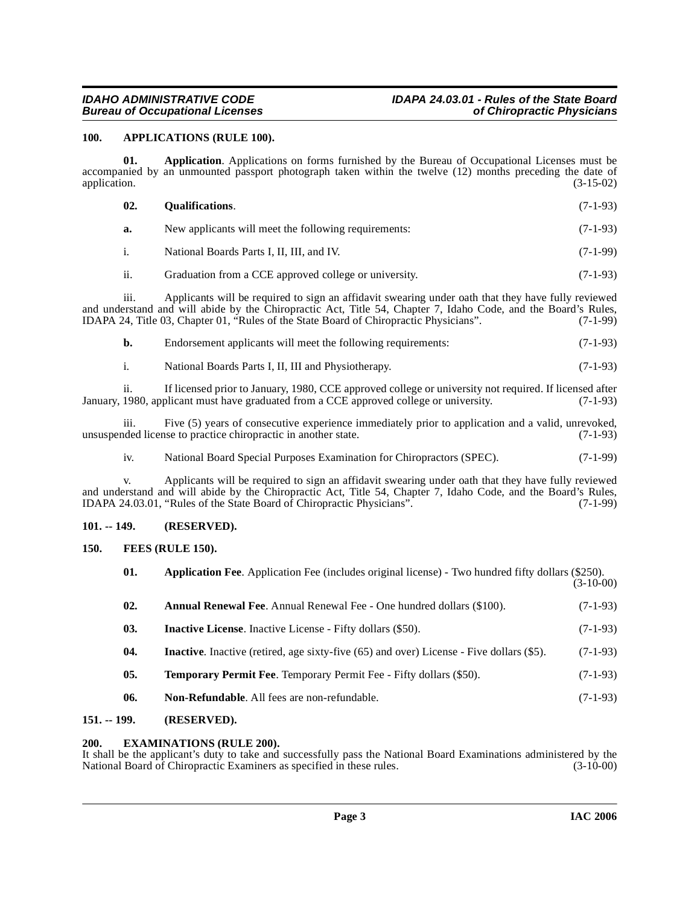### **IDAHO ADMINISTRATIVE CODE IDAPA 24.03.01 - Rules of the State Board**

#### <span id="page-2-7"></span><span id="page-2-0"></span>**100. APPLICATIONS (RULE 100).**

**01. Application**. Applications on forms furnished by the Bureau of Occupational Licenses must be accompanied by an unmounted passport photograph taken within the twelve (12) months preceding the date of application. (3-15-02) application. (3-15-02)

<span id="page-2-12"></span>

| 02. | <b>Oualifications.</b>                                | $(7-1-93)$ |
|-----|-------------------------------------------------------|------------|
| a.  | New applicants will meet the following requirements:  | $(7-1-93)$ |
|     | National Boards Parts I, II, III, and IV.             | $(7-1-99)$ |
| ii. | Graduation from a CCE approved college or university. | $(7-1-93)$ |

iii. Applicants will be required to sign an affidavit swearing under oath that they have fully reviewed and understand and will abide by the Chiropractic Act, Title 54, Chapter 7, Idaho Code, and the Board's Rules,<br>IDAPA 24, Title 03, Chapter 01, "Rules of the State Board of Chiropractic Physicians". (7-1-99) IDAPA 24, Title 03, Chapter 01, "Rules of the State Board of Chiropractic Physicians".

| Endorsement applicants will meet the following requirements: | $(7-1-93)$ |
|--------------------------------------------------------------|------------|
| National Boards Parts I, II, III and Physiotherapy.          | $(7-1-93)$ |

ii. If licensed prior to January, 1980, CCE approved college or university not required. If licensed after January, 1980, applicant must have graduated from a CCE approved college or university. (7-1-93)

iii. Five (5) years of consecutive experience immediately prior to application and a valid, unrevoked, ided license to practice chiropractic in another state. (7-1-93) unsuspended license to practice chiropractic in another state.

iv. National Board Special Purposes Examination for Chiropractors (SPEC). (7-1-99)

v. Applicants will be required to sign an affidavit swearing under oath that they have fully reviewed and understand and will abide by the Chiropractic Act, Title 54, Chapter 7, Idaho Code, and the Board's Rules,<br>IDAPA 24.03.01, "Rules of the State Board of Chiropractic Physicians". (7-1-99) IDAPA 24.03.01, "Rules of the State Board of Chiropractic Physicians".

#### <span id="page-2-1"></span>**101. -- 149. (RESERVED).**

<span id="page-2-2"></span>**150. FEES (RULE 150).**

<span id="page-2-10"></span><span id="page-2-9"></span><span id="page-2-8"></span><span id="page-2-6"></span><span id="page-2-5"></span>

| <b>Application Fee.</b> Application Fee (includes original license) - Two hundred fifty dollars (\$250).<br>$(3-10-00)$ |
|-------------------------------------------------------------------------------------------------------------------------|
| $(7-1-93)$                                                                                                              |
| $(7-1-93)$                                                                                                              |
| $(7-1-93)$                                                                                                              |
| $(7-1-93)$                                                                                                              |
| $(7-1-93)$                                                                                                              |
|                                                                                                                         |

#### <span id="page-2-13"></span><span id="page-2-11"></span><span id="page-2-3"></span>**151. -- 199. (RESERVED).**

#### <span id="page-2-4"></span>**200. EXAMINATIONS (RULE 200).**

It shall be the applicant's duty to take and successfully pass the National Board Examinations administered by the National Board of Chiropractic Examiners as specified in these rules. (3-10-00) National Board of Chiropractic Examiners as specified in these rules.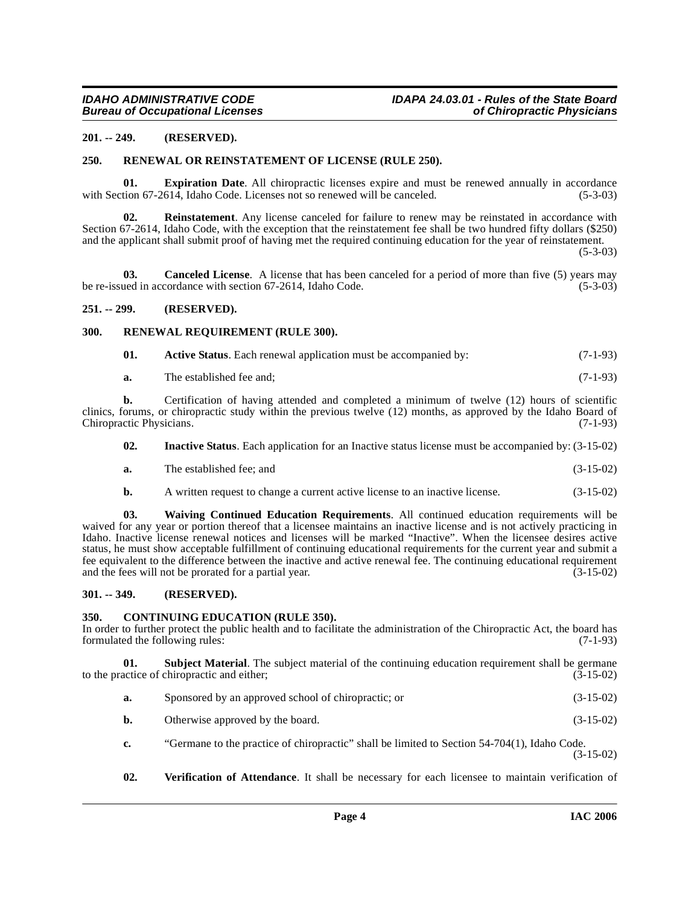#### <span id="page-3-0"></span>**201. -- 249. (RESERVED).**

#### <span id="page-3-12"></span><span id="page-3-1"></span>**250. RENEWAL OR REINSTATEMENT OF LICENSE (RULE 250).**

<span id="page-3-9"></span>**01. Expiration Date**. All chiropractic licenses expire and must be renewed annually in accordance tion 67-2614, Idaho Code. Licenses not so renewed will be canceled. (5-3-03) with Section 67-2614, Idaho Code. Licenses not so renewed will be canceled.

<span id="page-3-11"></span>**02. Reinstatement**. Any license canceled for failure to renew may be reinstated in accordance with Section 67-2614, Idaho Code, with the exception that the reinstatement fee shall be two hundred fifty dollars (\$250) and the applicant shall submit proof of having met the required continuing education for the year of reinstatement.

(5-3-03)

<span id="page-3-7"></span>**03. Canceled License**. A license that has been canceled for a period of more than five (5) years may be re-issued in accordance with section 67-2614, Idaho Code. (5-3-03)

#### <span id="page-3-2"></span>**251. -- 299. (RESERVED).**

#### <span id="page-3-3"></span>**300. RENEWAL REQUIREMENT (RULE 300).**

<span id="page-3-13"></span><span id="page-3-6"></span>

| 01. | <b>Active Status.</b> Each renewal application must be accompanied by: | $(7-1-93)$ |
|-----|------------------------------------------------------------------------|------------|
|-----|------------------------------------------------------------------------|------------|

**a.** The established fee and; (7-1-93)

**b.** Certification of having attended and completed a minimum of twelve (12) hours of scientific clinics, forums, or chiropractic study within the previous twelve (12) months, as approved by the Idaho Board of Chiropractic Physicians. (7-1-93) Chiropractic Physicians.

- <span id="page-3-10"></span>**02. Inactive Status**. Each application for an Inactive status license must be accompanied by: (3-15-02)
- **a.** The established fee; and (3-15-02)
- **b.** A written request to change a current active license to an inactive license. (3-15-02)

**03. Waiving Continued Education Requirements**. All continued education requirements will be waived for any year or portion thereof that a licensee maintains an inactive license and is not actively practicing in Idaho. Inactive license renewal notices and licenses will be marked "Inactive". When the licensee desires active status, he must show acceptable fulfillment of continuing educational requirements for the current year and submit a fee equivalent to the difference between the inactive and active renewal fee. The continuing educational requirement and the fees will not be prorated for a partial year. (3-15-02)

#### <span id="page-3-4"></span>**301. -- 349. (RESERVED).**

#### <span id="page-3-8"></span><span id="page-3-5"></span>**350. CONTINUING EDUCATION (RULE 350).**

In order to further protect the public health and to facilitate the administration of the Chiropractic Act, the board has formulated the following rules: (7-1-93) formulated the following rules:

**01. Subject Material**. The subject material of the continuing education requirement shall be germane to the practice of chiropractic and either; (3-15-02)

- <span id="page-3-14"></span>**a.** Sponsored by an approved school of chiropractic; or (3-15-02)
- **b.** Otherwise approved by the board. (3-15-02)
- **c.** "Germane to the practice of chiropractic" shall be limited to Section 54-704(1), Idaho Code. (3-15-02)
- <span id="page-3-15"></span>**02. Verification of Attendance**. It shall be necessary for each licensee to maintain verification of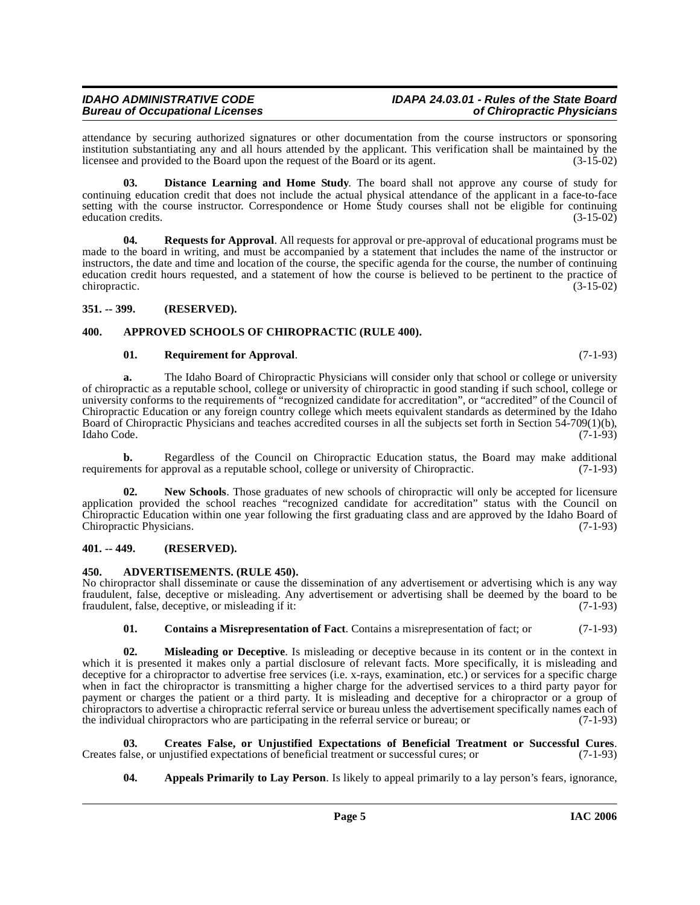### **IDAHO ADMINISTRATIVE CODE IDAPA 24.03.01 - Rules of the State Board**

attendance by securing authorized signatures or other documentation from the course instructors or sponsoring institution substantiating any and all hours attended by the applicant. This verification shall be maintained by the licensee and provided to the Board upon the request of the Board or its agent. (3-15-02) licensee and provided to the Board upon the request of the Board or its agent.

**03. Distance Learning and Home Study**. The board shall not approve any course of study for continuing education credit that does not include the actual physical attendance of the applicant in a face-to-face setting with the course instructor. Correspondence or Home Study courses shall not be eligible for continuing education credits. (3-15-02)

**04. Requests for Approval**. All requests for approval or pre-approval of educational programs must be made to the board in writing, and must be accompanied by a statement that includes the name of the instructor or instructors, the date and time and location of the course, the specific agenda for the course, the number of continuing education credit hours requested, and a statement of how the course is believed to be pertinent to the practice of chiropractic. (3-15-02)

#### <span id="page-4-0"></span>**351. -- 399. (RESERVED).**

#### <span id="page-4-1"></span>**400. APPROVED SCHOOLS OF CHIROPRACTIC (RULE 400).**

#### <span id="page-4-11"></span><span id="page-4-6"></span>**01. Requirement for Approval**. (7-1-93)

**a.** The Idaho Board of Chiropractic Physicians will consider only that school or college or university of chiropractic as a reputable school, college or university of chiropractic in good standing if such school, college or university conforms to the requirements of "recognized candidate for accreditation", or "accredited" of the Council of Chiropractic Education or any foreign country college which meets equivalent standards as determined by the Idaho Board of Chiropractic Physicians and teaches accredited courses in all the subjects set forth in Section 54-709(1)(b), Idaho Code. (7-1-93) Idaho Code. (7-1-93)

**b.** Regardless of the Council on Chiropractic Education status, the Board may make additional requirements for approval as a reputable school, college or university of Chiropractic. (7-1-93)

<span id="page-4-10"></span>**02. New Schools**. Those graduates of new schools of chiropractic will only be accepted for licensure application provided the school reaches "recognized candidate for accreditation" status with the Council on Chiropractic Education within one year following the first graduating class and are approved by the Idaho Board of Chiropractic Physicians.

#### <span id="page-4-2"></span>**401. -- 449. (RESERVED).**

#### <span id="page-4-4"></span><span id="page-4-3"></span>**450. ADVERTISEMENTS. (RULE 450).**

No chiropractor shall disseminate or cause the dissemination of any advertisement or advertising which is any way fraudulent, false, deceptive or misleading. Any advertisement or advertising shall be deemed by the board to be fraudulent, false, deceptive, or misleading if it: (7-1-93)

#### <span id="page-4-9"></span><span id="page-4-7"></span>**01. Contains a Misrepresentation of Fact**. Contains a misrepresentation of fact; or (7-1-93)

**02. Misleading or Deceptive**. Is misleading or deceptive because in its content or in the context in which it is presented it makes only a partial disclosure of relevant facts. More specifically, it is misleading and deceptive for a chiropractor to advertise free services (i.e. x-rays, examination, etc.) or services for a specific charge when in fact the chiropractor is transmitting a higher charge for the advertised services to a third party payor for payment or charges the patient or a third party. It is misleading and deceptive for a chiropractor or a group of chiropractors to advertise a chiropractic referral service or bureau unless the advertisement specifically names each of the individual chiropractors who are participating in the referral service or bureau; or (7-1-93)

**03.** Creates False, or Unjustified Expectations of Beneficial Treatment or Successful Cures. Calse, or unjustified expectations of beneficial treatment or successful cures; or (7-1-93) Creates false, or unjustified expectations of beneficial treatment or successful cures; or

<span id="page-4-8"></span><span id="page-4-5"></span>**04. Appeals Primarily to Lay Person**. Is likely to appeal primarily to a lay person's fears, ignorance,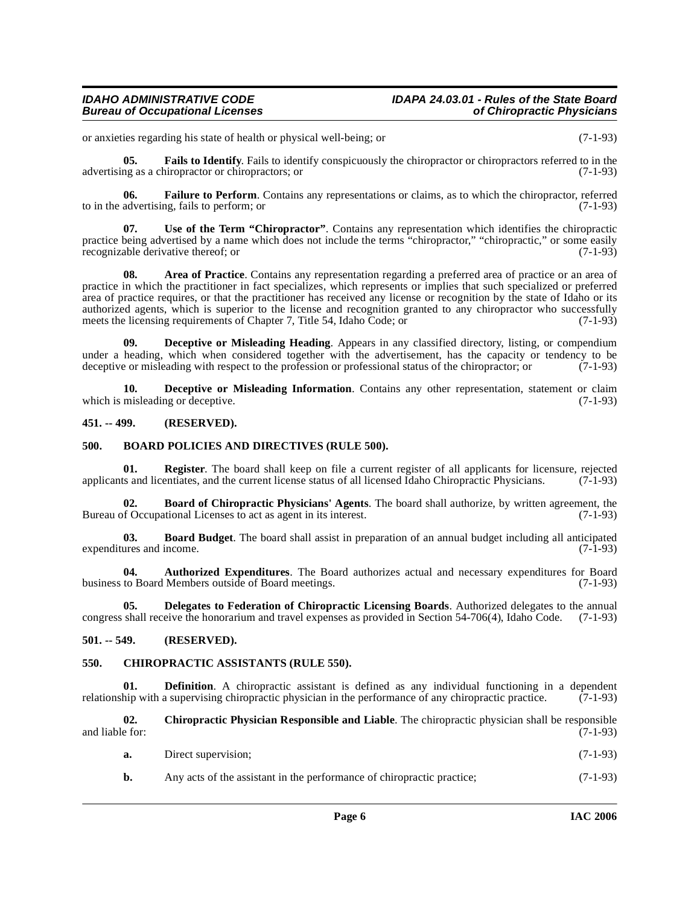### **IDAHO ADMINISTRATIVE CODE IDAPA 24.03.01 - Rules of the State Board**

<span id="page-5-14"></span>or anxieties regarding his state of health or physical well-being; or (7-1-93)

**05. Fails to Identify**. Fails to identify conspicuously the chiropractor or chiropractors referred to in the advertising as a chiropractor or chiropractors; or (7-1-93)

<span id="page-5-15"></span>**06. Failure to Perform**. Contains any representations or claims, as to which the chiropractor, referred advertising, fails to perform; or  $(7-1-93)$ to in the advertising, fails to perform; or

<span id="page-5-17"></span>**07. Use of the Term "Chiropractor"**. Contains any representation which identifies the chiropractic practice being advertised by a name which does not include the terms "chiropractor," "chiropractic," or some easily<br>recognizable derivative thereof: or (7-1-93) recognizable derivative thereof; or

<span id="page-5-4"></span>**08. Area of Practice**. Contains any representation regarding a preferred area of practice or an area of practice in which the practitioner in fact specializes, which represents or implies that such specialized or preferred area of practice requires, or that the practitioner has received any license or recognition by the state of Idaho or its authorized agents, which is superior to the license and recognition granted to any chiropractor who successfully meets the licensing requirements of Chapter 7, Title 54, Idaho Code; or (7-1-93) meets the licensing requirements of Chapter 7, Title 54, Idaho Code; or

<span id="page-5-11"></span>**09. Deceptive or Misleading Heading**. Appears in any classified directory, listing, or compendium under a heading, which when considered together with the advertisement, has the capacity or tendency to be deceptive or misleading with respect to the profession or professional status of the chiropractor; or  $(7-1-93)$ deceptive or misleading with respect to the profession or professional status of the chiropractor; or

<span id="page-5-12"></span>**10. Deceptive or Misleading Information**. Contains any other representation, statement or claim misleading or deceptive. (7-1-93) which is misleading or deceptive.

#### <span id="page-5-0"></span>**451. -- 499. (RESERVED).**

#### <span id="page-5-7"></span><span id="page-5-1"></span>**500. BOARD POLICIES AND DIRECTIVES (RULE 500).**

<span id="page-5-16"></span>**01. Register**. The board shall keep on file a current register of all applicants for licensure, rejected applicants and licentiates, and the current license status of all licensed Idaho Chiropractic Physicians. (7-1-93)

<span id="page-5-8"></span>**02. Board of Chiropractic Physicians' Agents**. The board shall authorize, by written agreement, the Bureau of Occupational Licenses to act as agent in its interest. (7-1-93)

<span id="page-5-6"></span>**03. Board Budget**. The board shall assist in preparation of an annual budget including all anticipated ures and income. (7-1-93) expenditures and income.

<span id="page-5-5"></span>**04.** Authorized Expenditures. The Board authorizes actual and necessary expenditures for Board to Board Members outside of Board meetings. (7-1-93) business to Board Members outside of Board meetings.

<span id="page-5-13"></span>**05. Delegates to Federation of Chiropractic Licensing Boards**. Authorized delegates to the annual congress shall receive the honorarium and travel expenses as provided in Section 54-706(4), Idaho Code. (7-1-93)

#### <span id="page-5-2"></span>**501. -- 549. (RESERVED).**

#### <span id="page-5-9"></span><span id="page-5-3"></span>**550. CHIROPRACTIC ASSISTANTS (RULE 550).**

**01. Definition**. A chiropractic assistant is defined as any individual functioning in a dependent hip with a supervising chiropractic physician in the performance of any chiropractic practice. (7-1-93) relationship with a supervising chiropractic physician in the performance of any chiropractic practice.

**02. Chiropractic Physician Responsible and Liable**. The chiropractic physician shall be responsible and liable for:  $(7-1-93)$ 

<span id="page-5-10"></span>

| a. | Direct supervision; | $(7-1-93)$ |  |
|----|---------------------|------------|--|
|----|---------------------|------------|--|

**b.** Any acts of the assistant in the performance of chiropractic practice; (7-1-93)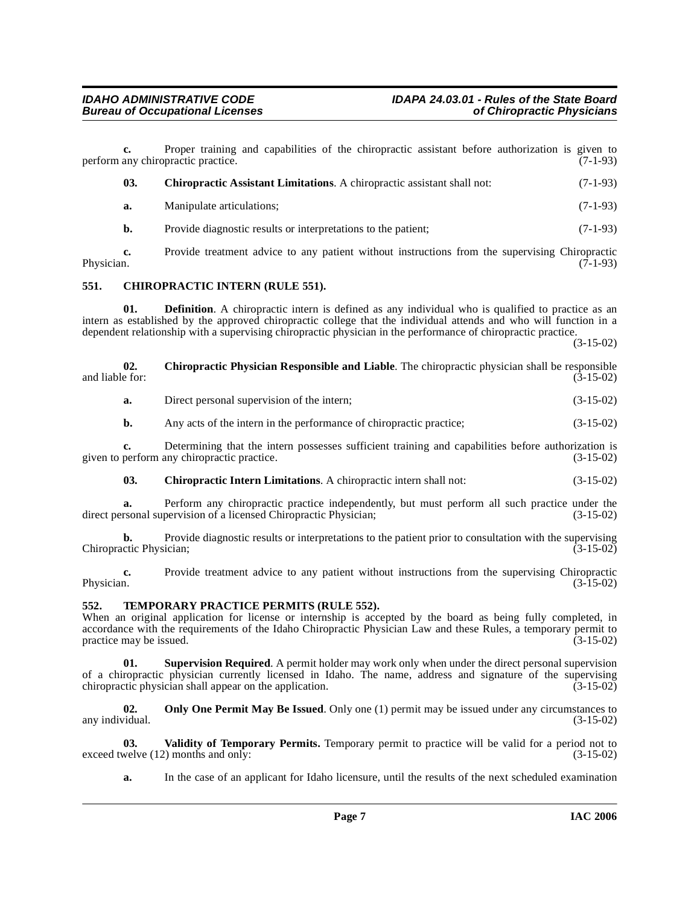<span id="page-6-3"></span><span id="page-6-2"></span><span id="page-6-0"></span>**c.** Proper training and capabilities of the chiropractic assistant before authorization is given to any chiropractic practice. (7-1-93) perform any chiropractic practice. **03.** Chiropractic Assistant Limitations. A chiropractic assistant shall not: (7-1-93) **a.** Manipulate articulations; (7-1-93) **b.** Provide diagnostic results or interpretations to the patient; (7-1-93) **c.** Provide treatment advice to any patient without instructions from the supervising Chiropractic Physician. (7-1-93) Physician. (7-1-93) **551. CHIROPRACTIC INTERN (RULE 551). 01. Definition**. A chiropractic intern is defined as any individual who is qualified to practice as an intern as established by the approved chiropractic college that the individual attends and who will function in a dependent relationship with a supervising chiropractic physician in the performance of chiropractic practice. (3-15-02) **02.** Chiropractic Physician Responsible and Liable. The chiropractic physician shall be responsible and liable for:<br>(3-15-02) and liable for: (3-15-02) **a.** Direct personal supervision of the intern; (3-15-02) **b.** Any acts of the intern in the performance of chiropractic practice; (3-15-02) **c.** Determining that the intern possesses sufficient training and capabilities before authorization is given to perform any chiropractic practice. (3-15-02) **03. Chiropractic Intern Limitations**. A chiropractic intern shall not: (3-15-02)

<span id="page-6-5"></span><span id="page-6-4"></span>**a.** Perform any chiropractic practice independently, but must perform all such practice under the rsonal supervision of a licensed Chiropractic Physician; (3-15-02) direct personal supervision of a licensed Chiropractic Physician;

**b.** Provide diagnostic results or interpretations to the patient prior to consultation with the supervising ctic Physician: (3-15-02) Chiropractic Physician;

**c.** Provide treatment advice to any patient without instructions from the supervising Chiropractic Physician. (3-15-02) Physician. (3-15-02)

#### <span id="page-6-7"></span><span id="page-6-1"></span>**552. TEMPORARY PRACTICE PERMITS (RULE 552).**

When an original application for license or internship is accepted by the board as being fully completed, in accordance with the requirements of the Idaho Chiropractic Physician Law and these Rules, a temporary permit to practice may be issued. practice may be issued.

**01. Supervision Required**. A permit holder may work only when under the direct personal supervision of a chiropractic physician currently licensed in Idaho. The name, address and signature of the supervising chiropractic physician shall appear on the application. (3-15-02) chiropractic physician shall appear on the application.

<span id="page-6-6"></span>**02.** Only One Permit May Be Issued. Only one (1) permit may be issued under any circumstances to any individual. (3-15-02)

**03.** Validity of Temporary Permits. Temporary permit to practice will be valid for a period not to welve (12) months and only: (3-15-02) exceed twelve  $(12)$  months and only:

<span id="page-6-8"></span>**a.** In the case of an applicant for Idaho licensure, until the results of the next scheduled examination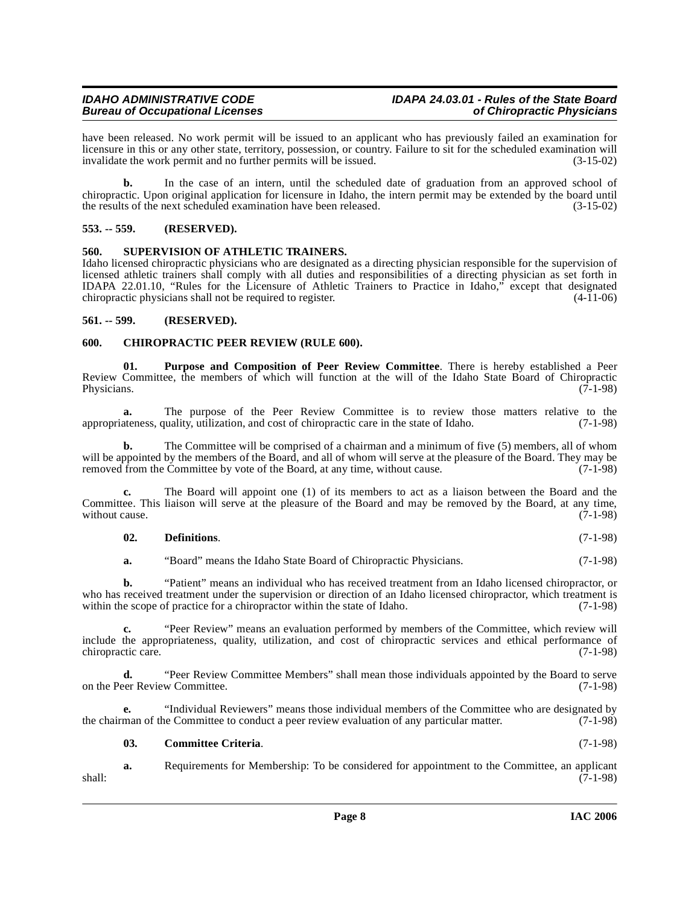have been released. No work permit will be issued to an applicant who has previously failed an examination for licensure in this or any other state, territory, possession, or country. Failure to sit for the scheduled examination will invalidate the work permit and no further permits will be issued. (3-15-02)

**b.** In the case of an intern, until the scheduled date of graduation from an approved school of chiropractic. Upon original application for licensure in Idaho, the intern permit may be extended by the board until the results of the next scheduled examination have been released.

#### <span id="page-7-0"></span>**553. -- 559. (RESERVED).**

#### <span id="page-7-7"></span><span id="page-7-1"></span>**560. SUPERVISION OF ATHLETIC TRAINERS.**

Idaho licensed chiropractic physicians who are designated as a directing physician responsible for the supervision of licensed athletic trainers shall comply with all duties and responsibilities of a directing physician as set forth in IDAPA 22.01.10, "Rules for the Licensure of Athletic Trainers to Practice in Idaho," except that designated chiropractic physicians shall not be required to register. (4-11-06)

#### <span id="page-7-2"></span>**561. -- 599. (RESERVED).**

#### <span id="page-7-4"></span><span id="page-7-3"></span>**600. CHIROPRACTIC PEER REVIEW (RULE 600).**

<span id="page-7-6"></span>**01. Purpose and Composition of Peer Review Committee**. There is hereby established a Peer Review Committee, the members of which will function at the will of the Idaho State Board of Chiropractic Physicians. (7-1-98) Physicians. (7-1-98)

**a.** The purpose of the Peer Review Committee is to review those matters relative to the ateness, quality, utilization, and cost of chiropractic care in the state of Idaho. (7-1-98) appropriateness, quality, utilization, and cost of chiropractic care in the state of Idaho.

**b.** The Committee will be comprised of a chairman and a minimum of five (5) members, all of whom will be appointed by the members of the Board, and all of whom will serve at the pleasure of the Board. They may be removed from the Committee by vote of the Board, at any time, without cause. (7-1-98)

**c.** The Board will appoint one (1) of its members to act as a liaison between the Board and the Committee. This liaison will serve at the pleasure of the Board and may be removed by the Board, at any time, without cause. (7-1-98) without cause.

#### **02. Definitions**. (7-1-98)

**a.** "Board" means the Idaho State Board of Chiropractic Physicians. (7-1-98)

**b.** "Patient" means an individual who has received treatment from an Idaho licensed chiropractor, or who has received treatment under the supervision or direction of an Idaho licensed chiropractor, which treatment is within the scope of practice for a chiropractor within the state of Idaho. (7-1-98)

**c.** "Peer Review" means an evaluation performed by members of the Committee, which review will include the appropriateness, quality, utilization, and cost of chiropractic services and ethical performance of chiropractic care.

**d.** "Peer Review Committee Members" shall mean those individuals appointed by the Board to serve on the Peer Review Committee. (7-1-98)

**e.** "Individual Reviewers" means those individual members of the Committee who are designated by the chairman of the Committee to conduct a peer review evaluation of any particular matter. (7-1-98)

#### <span id="page-7-5"></span>**03. Committee Criteria**. (7-1-98)

**a.** Requirements for Membership: To be considered for appointment to the Committee, an applicant (7-1-98) shall: (7-1-98)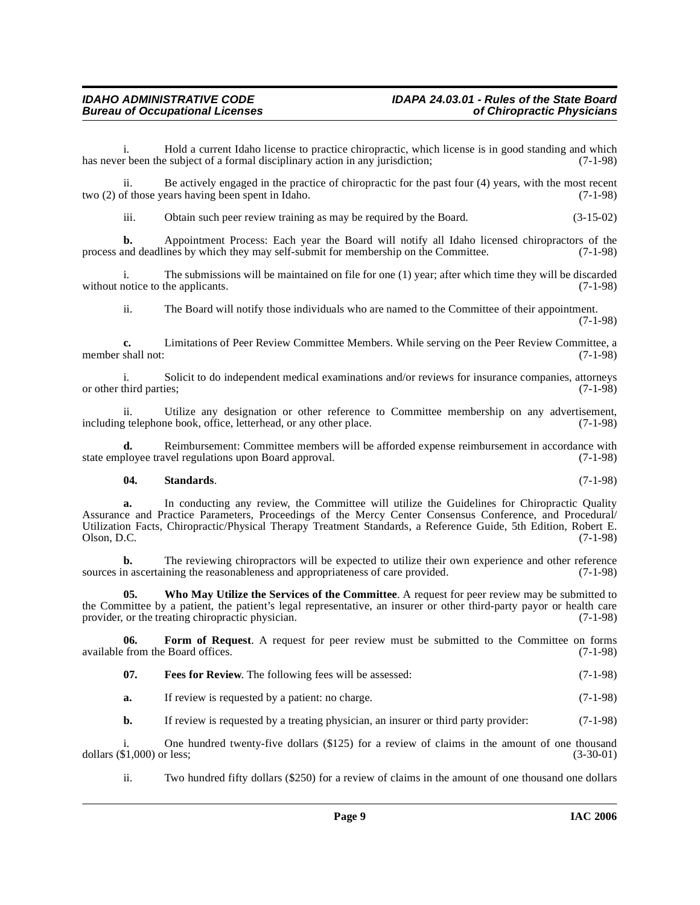i. Hold a current Idaho license to practice chiropractic, which license is in good standing and which r been the subject of a formal disciplinary action in any jurisdiction; (7-1-98) has never been the subject of a formal disciplinary action in any jurisdiction;

ii. Be actively engaged in the practice of chiropractic for the past four (4) years, with the most recent of those years having been spent in Idaho.  $(7-1-98)$ two  $(2)$  of those years having been spent in Idaho.

iii. Obtain such peer review training as may be required by the Board. (3-15-02)

**b.** Appointment Process: Each year the Board will notify all Idaho licensed chiropractors of the and deadlines by which they may self-submit for membership on the Committee. (7-1-98) process and deadlines by which they may self-submit for membership on the Committee.

i. The submissions will be maintained on file for one (1) year; after which time they will be discarded without notice to the applicants. (7-1-98)

ii. The Board will notify those individuals who are named to the Committee of their appointment. (7-1-98)

**c.** Limitations of Peer Review Committee Members. While serving on the Peer Review Committee, a shall not: (7-1-98) member shall not:

i. Solicit to do independent medical examinations and/or reviews for insurance companies, attorneys or other third parties;

ii. Utilize any designation or other reference to Committee membership on any advertisement,  $\alpha$  relephone book, office, letterhead, or any other place. (7-1-98) including telephone book, office, letterhead, or any other place.

**d.** Reimbursement: Committee members will be afforded expense reimbursement in accordance with ployee travel regulations upon Board approval. (7-1-98) state employee travel regulations upon Board approval.

#### <span id="page-8-2"></span>**04. Standards**. (7-1-98)

**a.** In conducting any review, the Committee will utilize the Guidelines for Chiropractic Quality Assurance and Practice Parameters, Proceedings of the Mercy Center Consensus Conference, and Procedural/ Utilization Facts, Chiropractic/Physical Therapy Treatment Standards, a Reference Guide, 5th Edition, Robert E.  $Olson, D.C.$  (7-1-98)

**b.** The reviewing chiropractors will be expected to utilize their own experience and other reference n ascertaining the reasonableness and appropriateness of care provided. (7-1-98) sources in ascertaining the reasonableness and appropriateness of care provided.

<span id="page-8-3"></span>**05. Who May Utilize the Services of the Committee**. A request for peer review may be submitted to the Committee by a patient, the patient's legal representative, an insurer or other third-party payor or health care provider, or the treating chiropractic physician. (7-1-98)

**06. Form of Request**. A request for peer review must be submitted to the Committee on forms from the Board offices. (7-1-98) available from the Board offices.

- <span id="page-8-1"></span><span id="page-8-0"></span>**07. Fees for Review**. The following fees will be assessed: (7-1-98)
- **a.** If review is requested by a patient: no charge. (7-1-98)

**b.** If review is requested by a treating physician, an insurer or third party provider: (7-1-98)

i. One hundred twenty-five dollars  $(\$125)$  for a review of claims in the amount of one thousand  $\$1,000$  or less;  $(3-30-01)$ dollars  $(\$1,000)$  or less;

ii. Two hundred fifty dollars (\$250) for a review of claims in the amount of one thousand one dollars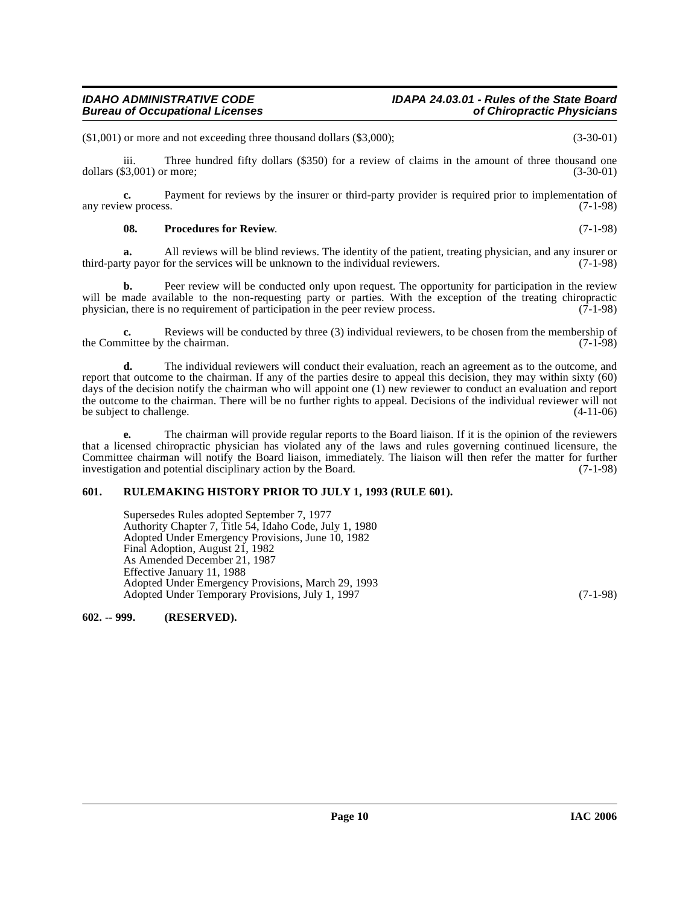### **IDAHO ADMINISTRATIVE CODE IDAPA 24.03.01 - Rules of the State Board**

(\$1,001) or more and not exceeding three thousand dollars (\$3,000); (3-30-01)

iii. Three hundred fifty dollars (\$350) for a review of claims in the amount of three thousand one dollars (\$3,001) or more; (3-30-01)

**c.** Payment for reviews by the insurer or third-party provider is required prior to implementation of  $(7-1-98)$ any review process.

#### <span id="page-9-2"></span>**08.** Procedures for Review.  $(7-1-98)$

**a.** All reviews will be blind reviews. The identity of the patient, treating physician, and any insurer or third-party payor for the services will be unknown to the individual reviewers. (7-1-98)

**b.** Peer review will be conducted only upon request. The opportunity for participation in the review will be made available to the non-requesting party or parties. With the exception of the treating chiropractic physician, there is no requirement of participation in the peer review process. (7-1-98) physician, there is no requirement of participation in the peer review process.

**c.** Reviews will be conducted by three (3) individual reviewers, to be chosen from the membership of the Committee by the chairman. (7-1-98)

**d.** The individual reviewers will conduct their evaluation, reach an agreement as to the outcome, and report that outcome to the chairman. If any of the parties desire to appeal this decision, they may within sixty (60) days of the decision notify the chairman who will appoint one (1) new reviewer to conduct an evaluation and report the outcome to the chairman. There will be no further rights to appeal. Decisions of the individual reviewer will not be subject to challenge. (4-11-06)

**e.** The chairman will provide regular reports to the Board liaison. If it is the opinion of the reviewers that a licensed chiropractic physician has violated any of the laws and rules governing continued licensure, the Committee chairman will notify the Board liaison, immediately. The liaison will then refer the matter for further investigation and potential disciplinary action by the Board. (7-1-98) investigation and potential disciplinary action by the Board.

#### <span id="page-9-0"></span>**601. RULEMAKING HISTORY PRIOR TO JULY 1, 1993 (RULE 601).**

Supersedes Rules adopted September 7, 1977 Authority Chapter 7, Title 54, Idaho Code, July 1, 1980 Adopted Under Emergency Provisions, June 10, 1982 Final Adoption, August 21, 1982 As Amended December 21, 1987 Effective January 11, 1988 Adopted Under Emergency Provisions, March 29, 1993 Adopted Under Temporary Provisions, July 1, 1997 (7-1-98)

<span id="page-9-1"></span>**602. -- 999. (RESERVED).**